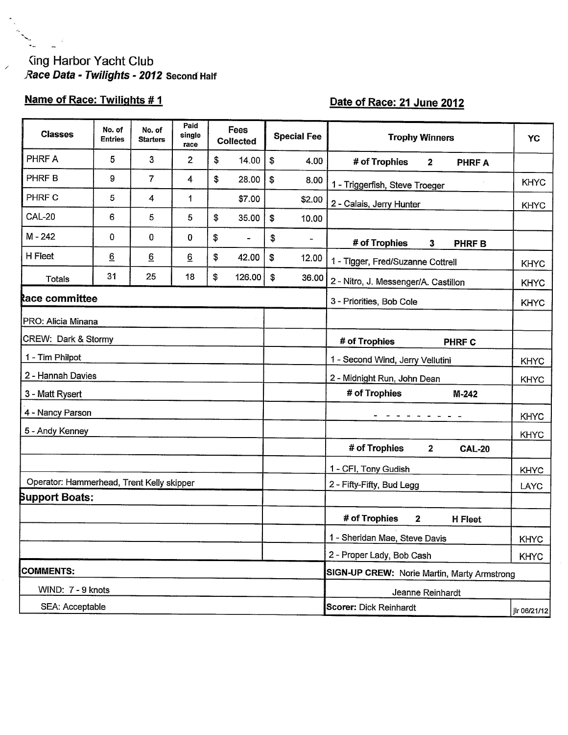# King Harbor Yacht Club<br>Race Data - Twilights - 2012 Second Half

## Name of Race: Twilights #1

 $\overline{a}$ 

 $\sim$ 

 $\overline{\phantom{a}}$ 

### Date of Race: 21 June 2012

| <b>Classes</b>                            | No. of<br>Entries | No. of<br><b>Starters</b> | Paid<br>single<br>race | Fees<br><b>Collected</b>       |    | <b>Special Fee</b> | <b>Trophy Winners</b>                          | YC           |  |  |
|-------------------------------------------|-------------------|---------------------------|------------------------|--------------------------------|----|--------------------|------------------------------------------------|--------------|--|--|
| PHRF A                                    | 5                 | 3                         | $\overline{2}$         | \$<br>14.00                    | \$ | 4.00               | # of Trophies<br><b>PHRF A</b><br>$\mathbf{2}$ |              |  |  |
| PHRF B                                    | 9                 | 7                         | 4                      | \$<br>28.00                    | \$ | 8.00               | 1 - Triggerfish, Steve Troeger                 | <b>KHYC</b>  |  |  |
| PHRF C                                    | 5                 | 4                         | 1                      | \$7.00                         |    | \$2.00             | 2 - Calais, Jerry Hunter                       | <b>KHYC</b>  |  |  |
| <b>CAL-20</b>                             | 6                 | 5                         | 5                      | \$<br>35.00                    | \$ | 10.00              |                                                |              |  |  |
| M - 242                                   | 0                 | 0                         | 0                      | \$<br>$\overline{\phantom{a}}$ | \$ |                    | # of Trophies<br>3<br><b>PHRFB</b>             |              |  |  |
| H Fleet                                   | $\underline{6}$   | $\underline{6}$           | $\underline{6}$        | \$<br>42.00                    | \$ | 12.00              | 1 - Tigger, Fred/Suzanne Cottrell              | <b>KHYC</b>  |  |  |
| Totals                                    | 31                | 25                        | 18                     | \$<br>126.00                   | \$ | 36.00              | 2 - Nitro, J. Messenger/A. Castillon           | <b>KHYC</b>  |  |  |
| <b>Race committee</b>                     |                   |                           |                        |                                |    |                    | 3 - Priorities, Bob Cole<br><b>KHYC</b>        |              |  |  |
| PRO: Alicia Minana                        |                   |                           |                        |                                |    |                    |                                                |              |  |  |
| CREW: Dark & Stormy                       |                   |                           |                        |                                |    |                    | # of Trophies<br><b>PHRF C</b>                 |              |  |  |
| 1 - Tim Philpot                           |                   |                           |                        |                                |    |                    | 1 - Second Wind, Jerry Vellutini               | <b>KHYC</b>  |  |  |
| 2 - Hannah Davies                         |                   |                           |                        |                                |    |                    | 2 - Midnight Run, John Dean                    | <b>KHYC</b>  |  |  |
| 3 - Matt Rysert                           |                   |                           |                        |                                |    |                    | # of Trophies<br>M-242                         |              |  |  |
| 4 - Nancy Parson                          |                   |                           |                        |                                |    |                    |                                                | <b>KHYC</b>  |  |  |
| 5 - Andy Kenney                           |                   |                           |                        |                                |    |                    |                                                | <b>KHYC</b>  |  |  |
|                                           |                   |                           |                        |                                |    |                    | # of Trophies<br>$\mathbf{2}$<br><b>CAL-20</b> |              |  |  |
|                                           |                   |                           |                        |                                |    |                    | 1 - CFI, Tony Gudish                           | <b>KHYC</b>  |  |  |
| Operator: Hammerhead, Trent Kelly skipper |                   |                           |                        |                                |    |                    | 2 - Fifty-Fifty, Bud Legg                      | LAYC         |  |  |
| <b>Support Boats:</b>                     |                   |                           |                        |                                |    |                    |                                                |              |  |  |
|                                           |                   |                           |                        |                                |    |                    | # of Trophies<br>2<br><b>H</b> Fleet           |              |  |  |
|                                           |                   |                           |                        |                                |    |                    | 1 - Sheridan Mae, Steve Davis                  | <b>KHYC</b>  |  |  |
|                                           |                   |                           |                        |                                |    |                    | 2 - Proper Lady, Bob Cash                      | <b>KHYC</b>  |  |  |
| <b>COMMENTS:</b>                          |                   |                           |                        |                                |    |                    | SIGN-UP CREW: Norie Martin, Marty Armstrong    |              |  |  |
| WIND: 7 - 9 knots                         |                   |                           |                        |                                |    |                    | Jeanne Reinhardt                               |              |  |  |
| SEA: Acceptable                           |                   |                           |                        |                                |    |                    | Scorer: Dick Reinhardt                         | jir 06/21/12 |  |  |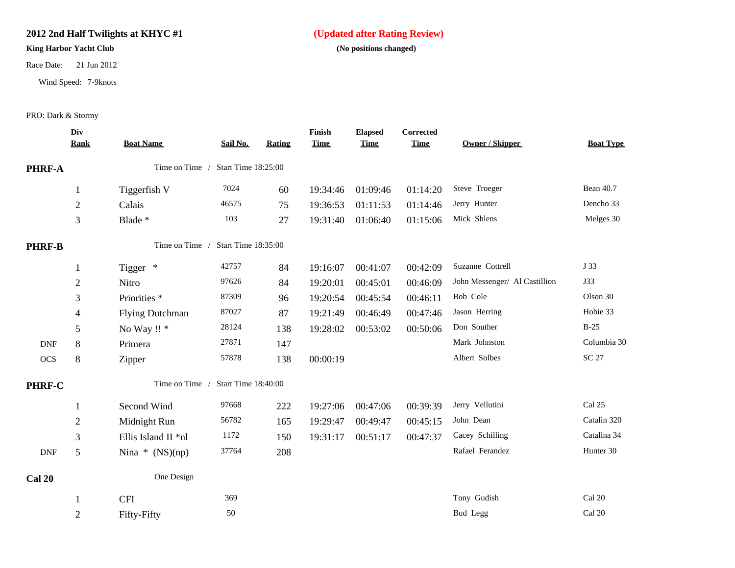#### **2012 2nd Half Twilights at KHYC #1 (Updated after Rating Review)**

#### **King Harbor Yacht Club** (No positions changed)

Race Date: 21 Jun 2012

Wind Speed: 7-9knots

PRO: Dark & Stormy

|                             | Div<br>Rank    | <b>Boat Name</b>        | Sail No.            | <b>Rating</b> | Finish<br><b>Time</b> | <b>Elapsed</b><br><b>Time</b> | Corrected<br><b>Time</b> | <b>Owner / Skipper</b>        | <b>Boat Type</b> |
|-----------------------------|----------------|-------------------------|---------------------|---------------|-----------------------|-------------------------------|--------------------------|-------------------------------|------------------|
| PHRF-A                      |                | Time on Time /          | Start Time 18:25:00 |               |                       |                               |                          |                               |                  |
|                             | $\mathbf{1}$   | Tiggerfish V            | 7024                | 60            | 19:34:46              | 01:09:46                      | 01:14:20                 | Steve Troeger                 | <b>Bean 40.7</b> |
|                             | $\overline{2}$ | Calais                  | 46575               | 75            | 19:36:53              | 01:11:53                      | 01:14:46                 | Jerry Hunter                  | Dencho 33        |
|                             | 3              | Blade *                 | 103                 | 27            | 19:31:40              | 01:06:40                      | 01:15:06                 | Mick Shlens                   | Melges 30        |
| <b>PHRF-B</b>               |                | Time on Time /          | Start Time 18:35:00 |               |                       |                               |                          |                               |                  |
|                             | $\mathbf{1}$   | Tigger *                | 42757               | 84            | 19:16:07              | 00:41:07                      | 00:42:09                 | Suzanne Cottrell              | J 33             |
|                             | $\mathfrak{2}$ | Nitro                   | 97626               | 84            | 19:20:01              | 00:45:01                      | 00:46:09                 | John Messenger/ Al Castillion | <b>J33</b>       |
|                             | 3              | Priorities <sup>*</sup> | 87309               | 96            | 19:20:54              | 00:45:54                      | 00:46:11                 | Bob Cole                      | Olson 30         |
|                             | 4              | <b>Flying Dutchman</b>  | 87027               | 87            | 19:21:49              | 00:46:49                      | 00:47:46                 | Jason Herring                 | Hobie 33         |
|                             | 5              | No Way !! *             | 28124               | 138           | 19:28:02              | 00:53:02                      | 00:50:06                 | Don Souther                   | $B-25$           |
| $\ensuremath{\mathsf{DNF}}$ | 8              | Primera                 | 27871               | 147           |                       |                               |                          | Mark Johnston                 | Columbia 30      |
| <b>OCS</b>                  | $8\,$          | Zipper                  | 57878               | 138           | 00:00:19              |                               |                          | Albert Solbes                 | <b>SC 27</b>     |
| <b>PHRF-C</b>               |                | Time on Time            | Start Time 18:40:00 |               |                       |                               |                          |                               |                  |
|                             | 1              | Second Wind             | 97668               | 222           | 19:27:06              | 00:47:06                      | 00:39:39                 | Jerry Vellutini               | Cal 25           |
|                             | $\overline{2}$ | Midnight Run            | 56782               | 165           | 19:29:47              | 00:49:47                      | 00:45:15                 | John Dean                     | Catalin 320      |
|                             | 3              | Ellis Island II *nl     | 1172                | 150           | 19:31:17              | 00:51:17                      | 00:47:37                 | Cacey Schilling               | Catalina 34      |
| <b>DNF</b>                  | 5              | Nina $*(NS)(np)$        | 37764               | 208           |                       |                               |                          | Rafael Ferandez               | Hunter 30        |
| <b>Cal 20</b>               |                | One Design              |                     |               |                       |                               |                          |                               |                  |
|                             | 1              | <b>CFI</b>              | 369                 |               |                       |                               |                          | Tony Gudish                   | Cal 20           |
|                             | $\mathbf{2}$   | Fifty-Fifty             | 50                  |               |                       |                               |                          | <b>Bud Legg</b>               | Cal 20           |